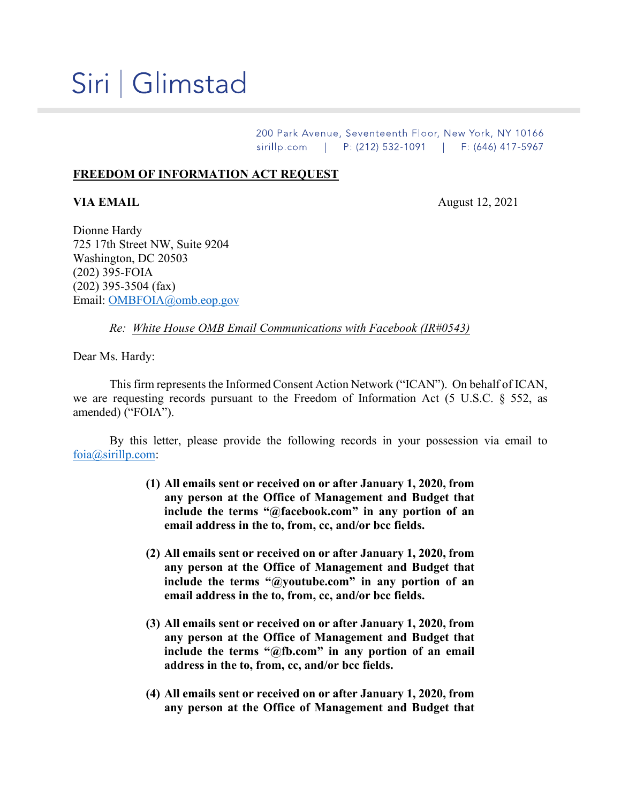## Siri | Glimstad

200 Park Avenue, Seventeenth Floor, New York, NY 10166 sirillp.com | P: (212) 532-1091 | F: (646) 417-5967

## **FREEDOM OF INFORMATION ACT REQUEST**

**VIA EMAIL** August 12, 2021

Dionne Hardy 725 17th Street NW, Suite 9204 Washington, DC 20503 (202) 395-FOIA (202) 395-3504 (fax) Email: [OMBFOIA@omb.eop.gov](mailto:OMBFOIA@omb.eop.gov)

*Re: White House OMB Email Communications with Facebook (IR#0543)*

Dear Ms. Hardy:

This firm represents the Informed Consent Action Network ("ICAN"). On behalf of ICAN, we are requesting records pursuant to the Freedom of Information Act (5 U.S.C. § 552, as amended) ("FOIA").

By this letter, please provide the following records in your possession via email to [foia@sirillp.com:](mailto:foia@sirillp.com)

- **(1) All emails sent or received on or after January 1, 2020, from any person at the Office of Management and Budget that include the terms "@facebook.com" in any portion of an email address in the to, from, cc, and/or bcc fields.**
- **(2) All emails sent or received on or after January 1, 2020, from any person at the Office of Management and Budget that include the terms "@youtube.com" in any portion of an email address in the to, from, cc, and/or bcc fields.**
- **(3) All emails sent or received on or after January 1, 2020, from any person at the Office of Management and Budget that include the terms "@fb.com" in any portion of an email address in the to, from, cc, and/or bcc fields.**
- **(4) All emails sent or received on or after January 1, 2020, from any person at the Office of Management and Budget that**